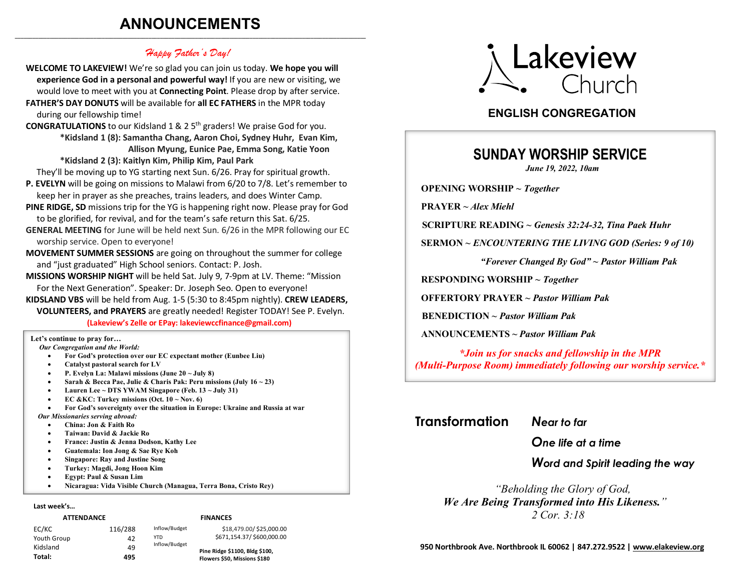## **ANNOUNCEMENTS \_\_\_\_\_\_\_\_\_\_\_\_\_\_\_\_\_\_\_\_\_\_\_\_\_\_\_\_\_\_\_\_\_\_\_\_\_\_\_\_\_\_\_\_\_\_\_\_\_\_\_\_\_\_\_\_\_\_\_\_\_\_\_\_\_\_\_\_\_\_\_\_\_\_\_\_\_\_\_\_\_\_\_\_\_\_\_\_\_\_\_\_\_\_\_\_\_\_\_\_\_\_\_\_\_\_\_\_\_\_\_\_\_\_\_\_\_\_\_\_\_**

## *Happy Father's Day!*

**WELCOME TO LAKEVIEW!** We're so glad you can join us today. **We hope you will experience God in a personal and powerful way!** If you are new or visiting, we would love to meet with you at **Connecting Point**. Please drop by after service. **FATHER'S DAY DONUTS** will be available for **all EC FATHERS** in the MPR today

during our fellowship time!

- **CONGRATULATIONS** to our Kidsland 1 & 2 5<sup>th</sup> graders! We praise God for you. **\*Kidsland 1 (8): Samantha Chang, Aaron Choi, Sydney Huhr, Evan Kim, Allison Myung, Eunice Pae, Emma Song, Katie Yoon**
	- **\*Kidsland 2 (3): Kaitlyn Kim, Philip Kim, Paul Park**

They'll be moving up to YG starting next Sun. 6/26. Pray for spiritual growth.

- **P. EVELYN** will be going on missions to Malawi from 6/20 to 7/8. Let's remember to keep her in prayer as she preaches, trains leaders, and does Winter Camp.
- **PINE RIDGE, SD** missions trip for the YG is happening right now. Please pray for God to be glorified, for revival, and for the team's safe return this Sat. 6/25.
- **GENERAL MEETING** for June will be held next Sun. 6/26 in the MPR following our EC worship service. Open to everyone!
- **MOVEMENT SUMMER SESSIONS** are going on throughout the summer for college and "just graduated" High School seniors. Contact: P. Josh.
- **MISSIONS WORSHIP NIGHT** will be held Sat. July 9, 7-9pm at LV. Theme: "Mission For the Next Generation". Speaker: Dr. Joseph Seo. Open to everyone!

**KIDSLAND VBS** will be held from Aug. 1-5 (5:30 to 8:45pm nightly). **CREW LEADERS, VOLUNTEERS, and PRAYERS** are greatly needed! Register TODAY! See P. Evelyn.

#### **(Lakeview's Zelle or EPay: lakeviewccfinance@gmail.com)**

#### **Let's continue to pray for…**

- *Our Congregation and the World:*
	- **For God's protection over our EC expectant mother (Eunbee Liu)**
	- **Catalyst pastoral search for LV**
	- **P. Evelyn La: Malawi missions (June 20 ~ July 8)**
	- **Sarah & Becca Pae, Julie & Charis Pak: Peru missions (July 16 ~ 23)**
	- **Lauren Lee ~ DTS YWAM Singapore (Feb. 13 ~ July 31)**
	- **EC &KC: Turkey missions (Oct. 10 ~ Nov. 6)**

• **For God's sovereignty over the situation in Europe: Ukraine and Russia at war**  *Our Missionaries serving abroad:*

- **China: Jon & Faith Ro**
- **Taiwan: David & Jackie Ro**
- **France: Justin & Jenna Dodson, Kathy Lee**

42 49 **495**

- **Guatemala: Ion Jong & Sae Rye Koh**
- **Singapore: Ray and Justine Song**
- **Turkey: Magdi, Jong Hoon Kim**
- **Egypt: Paul & Susan Lim**
- **Nicaragua: Vida Visible Church (Managua, Terra Bona, Cristo Rey)**

Inflow/Budget YTD Inflow/Budget

#### **Last week's…**

Youth Group Kidsland **Total:**

|       | <b>ATTENDANCE</b> |         |
|-------|-------------------|---------|
| EC/KC |                   | 116/288 |

**ATTENDANCE FINANCES** \$18,479.00/ \$25,000.00

\$671,154.37/ \$600,000.00

**Pine Ridge \$1100, Bldg \$100, Flowers \$50, Missions \$180**



## **ENGLISH CONGREGATION**

# **SUNDAY WORSHIP SERVICE**

 *June 19, 2022, 10am*

**OPENING WORSHIP** *~ Together*

**PRAYER ~** *Alex Miehl*

 **SCRIPTURE READING** *~ Genesis 32:24-32, Tina Paek Huhr*

**SERMON** *~ ENCOUNTERING THE LIVING GOD (Series: 9 of 10)*

*"Forever Changed By God" ~ Pastor William Pak*

**RESPONDING WORSHIP** *~ Together*

**OFFERTORY PRAYER** *~ Pastor William Pak*

 **BENEDICTION** *~ Pastor William Pak*

**ANNOUNCEMENTS ~** *Pastor William Pak*

*\*Join us for snacks and fellowship in the MPR (Multi-Purpose Room) immediately following our worship service.\**

 **Transformation** *Near to far*

 *One life at a time*

*Word and Spirit leading the way*

 *"Beholding the Glory of God, We Are Being Transformed into His Likeness." 2 Cor. 3:18*